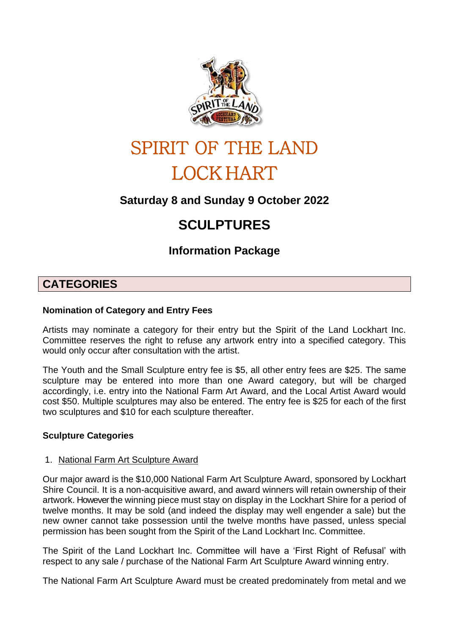

# SPIRIT OF THE LAND LOCK HART

## **Saturday 8 and Sunday 9 October 2022**

## **SCULPTURES**

**Information Package**

### **CATEGORIES**

#### **Nomination of Category and Entry Fees**

Artists may nominate a category for their entry but the Spirit of the Land Lockhart Inc. Committee reserves the right to refuse any artwork entry into a specified category. This would only occur after consultation with the artist.

The Youth and the Small Sculpture entry fee is \$5, all other entry fees are \$25. The same sculpture may be entered into more than one Award category, but will be charged accordingly, i.e. entry into the National Farm Art Award, and the Local Artist Award would cost \$50. Multiple sculptures may also be entered. The entry fee is \$25 for each of the first two sculptures and \$10 for each sculpture thereafter.

#### **Sculpture Categories**

#### 1. National Farm Art Sculpture Award

Our major award is the \$10,000 National Farm Art Sculpture Award, sponsored by Lockhart Shire Council. It is a non-acquisitive award, and award winners will retain ownership of their artwork. However the winning piece must stay on display in the Lockhart Shire for a period of twelve months. It may be sold (and indeed the display may well engender a sale) but the new owner cannot take possession until the twelve months have passed, unless special permission has been sought from the Spirit of the Land Lockhart Inc. Committee.

The Spirit of the Land Lockhart Inc. Committee will have a 'First Right of Refusal' with respect to any sale / purchase of the National Farm Art Sculpture Award winning entry.

The National Farm Art Sculpture Award must be created predominately from metal and we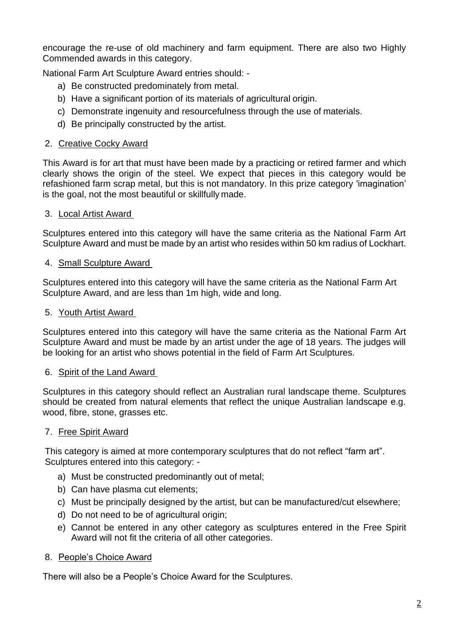encourage the re-use of old machinery and farm equipment. There are also two Highly Commended awards in this category.

National Farm Art Sculpture Award entries should: -

- a) Be constructed predominately from metal.
- b) Have a significant portion of its materials of agricultural origin.
- c) Demonstrate ingenuity and resourcefulness through the use of materials.
- d) Be principally constructed by the artist.

#### 2. Creative Cocky Award

This Award is for art that must have been made by a practicing or retired farmer and which clearly shows the origin of the steel. We expect that pieces in this category would be refashioned farm scrap metal, but this is not mandatory. In this prize category 'imagination' is the goal, not the most beautiful or skillfully made.

#### 3. Local Artist Award

Sculptures entered into this category will have the same criteria as the National Farm Art Sculpture Award and must be made by an artist who resides within 50 km radius of Lockhart.

#### 4. Small Sculpture Award

Sculptures entered into this category will have the same criteria as the National Farm Art Sculpture Award, and are less than 1m high, wide and long.

#### 5. Youth Artist Award

Sculptures entered into this category will have the same criteria as the National Farm Art Sculpture Award and must be made by an artist under the age of 18 years. The judges will be looking for an artist who shows potential in the field of Farm Art Sculptures.

#### 6. Spirit of the Land Award

Sculptures in this category should reflect an Australian rural landscape theme. Sculptures should be created from natural elements that reflect the unique Australian landscape e.g. wood, fibre, stone, grasses etc.

#### 7. Free Spirit Award

This category is aimed at more contemporary sculptures that do not reflect "farm art". Sculptures entered into this category: -

- a) Must be constructed predominantly out of metal;
- b) Can have plasma cut elements;
- c) Must be principally designed by the artist, but can be manufactured/cut elsewhere;
- d) Do not need to be of agricultural origin;
- e) Cannot be entered in any other category as sculptures entered in the Free Spirit Award will not fit the criteria of all other categories.

#### 8. People's Choice Award

There will also be a People's Choice Award for the Sculptures.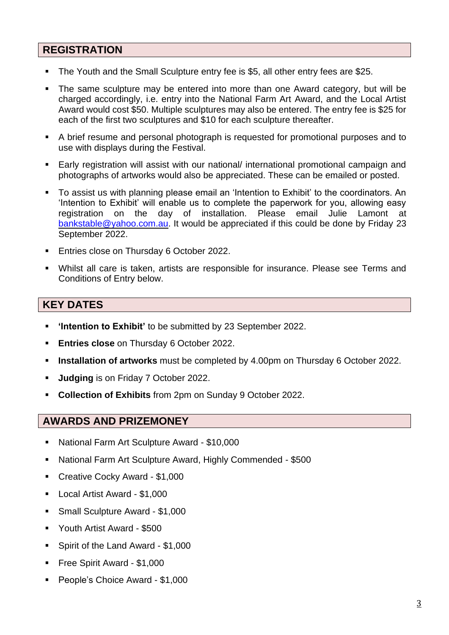#### **REGISTRATION**

- The Youth and the Small Sculpture entry fee is \$5, all other entry fees are \$25.
- The same sculpture may be entered into more than one Award category, but will be charged accordingly, i.e. entry into the National Farm Art Award, and the Local Artist Award would cost \$50. Multiple sculptures may also be entered. The entry fee is \$25 for each of the first two sculptures and \$10 for each sculpture thereafter.
- A brief resume and personal photograph is requested for promotional purposes and to use with displays during the Festival.
- Early registration will assist with our national/ international promotional campaign and photographs of artworks would also be appreciated. These can be emailed or posted.
- To assist us with planning please email an 'Intention to Exhibit' to the coordinators. An 'Intention to Exhibit' will enable us to complete the paperwork for you, allowing easy registration on the day of installation. Please email Julie Lamont at [bankstable@yahoo.com.au.](mailto:bankstable@yahoo.com.au) It would be appreciated if this could be done by Friday 23 September 2022.
- Entries close on Thursday 6 October 2022.
- Whilst all care is taken, artists are responsible for insurance. Please see Terms and Conditions of Entry below.

#### **KEY DATES**

- **'Intention to Exhibit'** to be submitted by 23 September 2022.
- **Entries close** on Thursday 6 October 2022.
- **Installation of artworks** must be completed by 4.00pm on Thursday 6 October 2022.
- **Judging** is on Friday 7 October 2022.
- **Collection of Exhibits** from 2pm on Sunday 9 October 2022.

#### **AWARDS AND PRIZEMONEY**

- National Farm Art Sculpture Award \$10,000
- National Farm Art Sculpture Award, Highly Commended \$500
- Creative Cocky Award \$1,000
- Local Artist Award \$1,000
- Small Sculpture Award \$1,000
- Youth Artist Award \$500
- Spirit of the Land Award \$1,000
- Free Spirit Award \$1,000
- People's Choice Award \$1,000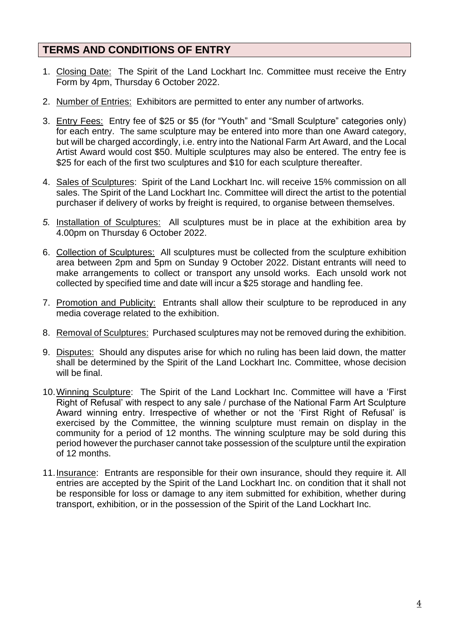#### **TERMS AND CONDITIONS OF ENTRY**

- 1. Closing Date: The Spirit of the Land Lockhart Inc. Committee must receive the Entry Form by 4pm, Thursday 6 October 2022.
- 2. Number of Entries: Exhibitors are permitted to enter any number of artworks.
- 3. Entry Fees: Entry fee of \$25 or \$5 (for "Youth" and "Small Sculpture" categories only) for each entry. The same sculpture may be entered into more than one Award category, but will be charged accordingly, i.e. entry into the National Farm Art Award, and the Local Artist Award would cost \$50. Multiple sculptures may also be entered. The entry fee is \$25 for each of the first two sculptures and \$10 for each sculpture thereafter.
- 4. Sales of Sculptures: Spirit of the Land Lockhart Inc. will receive 15% commission on all sales. The Spirit of the Land Lockhart Inc. Committee will direct the artist to the potential purchaser if delivery of works by freight is required, to organise between themselves.
- *5.* Installation of Sculptures: All sculptures must be in place at the exhibition area by 4.00pm on Thursday 6 October 2022.
- 6. Collection of Sculptures: All sculptures must be collected from the sculpture exhibition area between 2pm and 5pm on Sunday 9 October 2022. Distant entrants will need to make arrangements to collect or transport any unsold works. Each unsold work not collected by specified time and date will incur a \$25 storage and handling fee.
- 7. Promotion and Publicity: Entrants shall allow their sculpture to be reproduced in any media coverage related to the exhibition.
- 8. Removal of Sculptures: Purchased sculptures may not be removed during the exhibition.
- 9. Disputes: Should any disputes arise for which no ruling has been laid down, the matter shall be determined by the Spirit of the Land Lockhart Inc. Committee, whose decision will be final.
- 10.Winning Sculpture: The Spirit of the Land Lockhart Inc. Committee will have a 'First Right of Refusal' with respect to any sale / purchase of the National Farm Art Sculpture Award winning entry. Irrespective of whether or not the 'First Right of Refusal' is exercised by the Committee, the winning sculpture must remain on display in the community for a period of 12 months. The winning sculpture may be sold during this period however the purchaser cannot take possession of the sculpture until the expiration of 12 months.
- 11. Insurance: Entrants are responsible for their own insurance, should they require it. All entries are accepted by the Spirit of the Land Lockhart Inc. on condition that it shall not be responsible for loss or damage to any item submitted for exhibition, whether during transport, exhibition, or in the possession of the Spirit of the Land Lockhart Inc.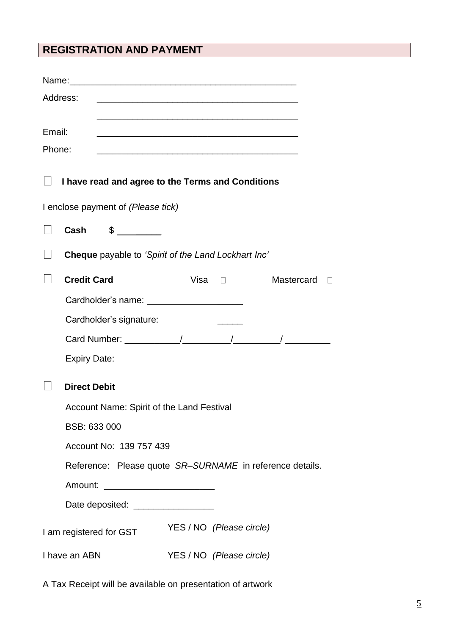## **REGISTRATION AND PAYMENT**

| Address:                                                              |                                                                                                                      |                          |               |            |  |  |  |  |
|-----------------------------------------------------------------------|----------------------------------------------------------------------------------------------------------------------|--------------------------|---------------|------------|--|--|--|--|
|                                                                       |                                                                                                                      |                          |               |            |  |  |  |  |
| Email:                                                                | <u> 1989 - Johann John Stone, markin film yn y brenin y brenin y brenin y brenin y brenin y brenin y brenin y br</u> |                          |               |            |  |  |  |  |
| Phone:<br><u> 1989 - Johann Barn, mars and de Brasilian (b. 1989)</u> |                                                                                                                      |                          |               |            |  |  |  |  |
|                                                                       | I have read and agree to the Terms and Conditions                                                                    |                          |               |            |  |  |  |  |
| I enclose payment of (Please tick)                                    |                                                                                                                      |                          |               |            |  |  |  |  |
|                                                                       | Cash $\frac{2}{1}$                                                                                                   |                          |               |            |  |  |  |  |
|                                                                       | <b>Cheque</b> payable to 'Spirit of the Land Lockhart Inc'                                                           |                          |               |            |  |  |  |  |
|                                                                       | <b>Credit Card</b>                                                                                                   |                          | $Visa$ $\Box$ | Mastercard |  |  |  |  |
|                                                                       |                                                                                                                      |                          |               |            |  |  |  |  |
|                                                                       | Cardholder's signature: _____________________                                                                        |                          |               |            |  |  |  |  |
|                                                                       |                                                                                                                      |                          |               |            |  |  |  |  |
|                                                                       | Expiry Date: _______________________                                                                                 |                          |               |            |  |  |  |  |
|                                                                       | <b>Direct Debit</b>                                                                                                  |                          |               |            |  |  |  |  |
|                                                                       | Account Name: Spirit of the Land Festival                                                                            |                          |               |            |  |  |  |  |
|                                                                       | BSB: 633 000                                                                                                         |                          |               |            |  |  |  |  |
|                                                                       | Account No: 139 757 439<br>Reference: Please quote SR-SURNAME in reference details.                                  |                          |               |            |  |  |  |  |
|                                                                       |                                                                                                                      |                          |               |            |  |  |  |  |
|                                                                       | Amount:                                                                                                              |                          |               |            |  |  |  |  |
|                                                                       | Date deposited: ____________________                                                                                 |                          |               |            |  |  |  |  |
|                                                                       | I am registered for GST                                                                                              | YES / NO (Please circle) |               |            |  |  |  |  |
| I have an ABN                                                         |                                                                                                                      | YES / NO (Please circle) |               |            |  |  |  |  |

A Tax Receipt will be available on presentation of artwork